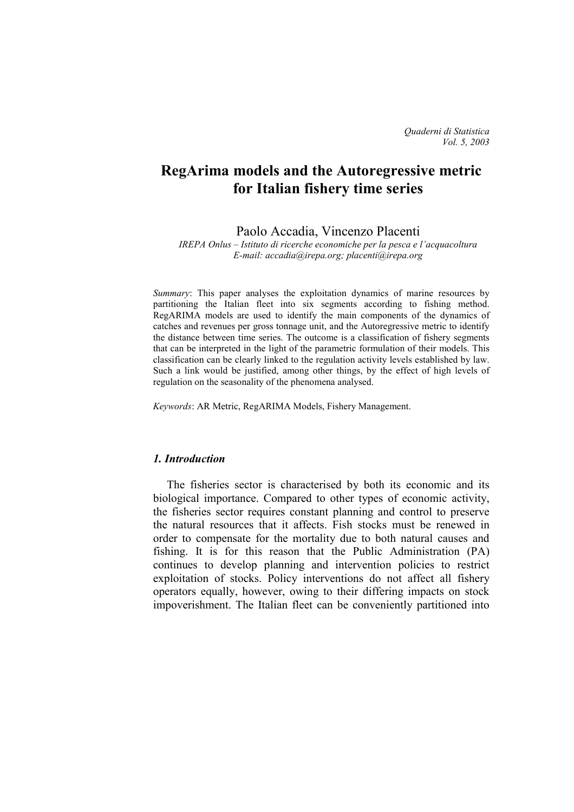# **RegArima models and the Autoregressive metric for Italian fishery time series**

Paolo Accadia, Vincenzo Placenti

*IREPA Onlus – Istituto di ricerche economiche per la pesca e l'acquacoltura E-mail: accadia@irepa.org; placenti@irepa.org* 

*Summary*: This paper analyses the exploitation dynamics of marine resources by partitioning the Italian fleet into six segments according to fishing method. RegARIMA models are used to identify the main components of the dynamics of catches and revenues per gross tonnage unit, and the Autoregressive metric to identify the distance between time series. The outcome is a classification of fishery segments that can be interpreted in the light of the parametric formulation of their models. This classification can be clearly linked to the regulation activity levels established by law. Such a link would be justified, among other things, by the effect of high levels of regulation on the seasonality of the phenomena analysed.

*Keywords*: AR Metric, RegARIMA Models, Fishery Management.

#### *1. Introduction*

The fisheries sector is characterised by both its economic and its biological importance. Compared to other types of economic activity, the fisheries sector requires constant planning and control to preserve the natural resources that it affects. Fish stocks must be renewed in order to compensate for the mortality due to both natural causes and fishing. It is for this reason that the Public Administration (PA) continues to develop planning and intervention policies to restrict exploitation of stocks. Policy interventions do not affect all fishery operators equally, however, owing to their differing impacts on stock impoverishment. The Italian fleet can be conveniently partitioned into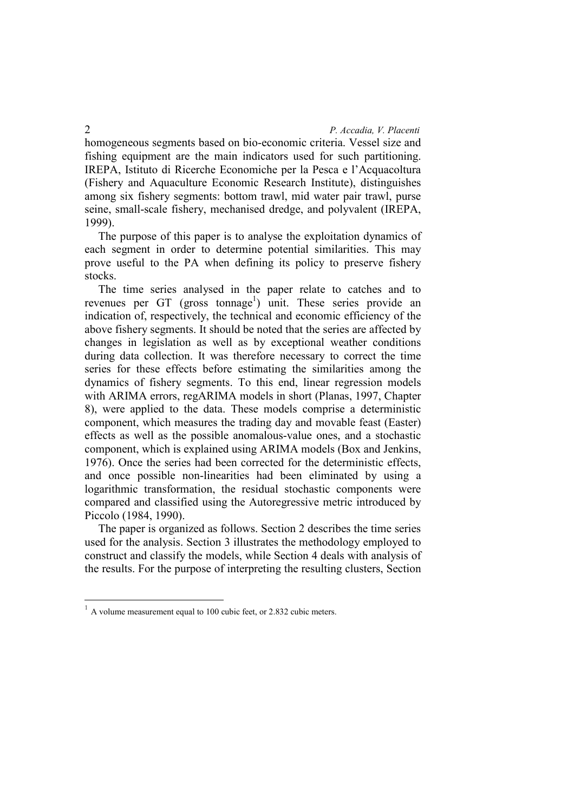homogeneous segments based on bio-economic criteria. Vessel size and fishing equipment are the main indicators used for such partitioning. IREPA, Istituto di Ricerche Economiche per la Pesca e l'Acquacoltura (Fishery and Aquaculture Economic Research Institute), distinguishes among six fishery segments: bottom trawl, mid water pair trawl, purse seine, small-scale fishery, mechanised dredge, and polyvalent (IREPA, 1999).

The purpose of this paper is to analyse the exploitation dynamics of each segment in order to determine potential similarities. This may prove useful to the PA when defining its policy to preserve fishery stocks.

The time series analysed in the paper relate to catches and to revenues per GT (gross tonnage<sup>1</sup>) unit. These series provide an indication of, respectively, the technical and economic efficiency of the above fishery segments. It should be noted that the series are affected by changes in legislation as well as by exceptional weather conditions during data collection. It was therefore necessary to correct the time series for these effects before estimating the similarities among the dynamics of fishery segments. To this end, linear regression models with ARIMA errors, regARIMA models in short (Planas, 1997, Chapter 8), were applied to the data. These models comprise a deterministic component, which measures the trading day and movable feast (Easter) effects as well as the possible anomalous-value ones, and a stochastic component, which is explained using ARIMA models (Box and Jenkins, 1976). Once the series had been corrected for the deterministic effects, and once possible non-linearities had been eliminated by using a logarithmic transformation, the residual stochastic components were compared and classified using the Autoregressive metric introduced by Piccolo (1984, 1990).

The paper is organized as follows. Section 2 describes the time series used for the analysis. Section 3 illustrates the methodology employed to construct and classify the models, while Section 4 deals with analysis of the results. For the purpose of interpreting the resulting clusters, Section

 $1 \text{ A}$  volume measurement equal to 100 cubic feet, or 2.832 cubic meters.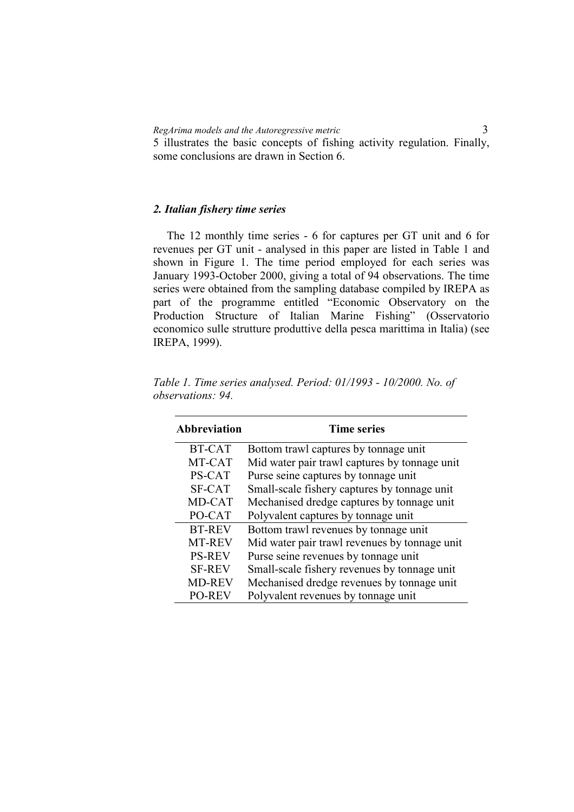5 illustrates the basic concepts of fishing activity regulation. Finally, some conclusions are drawn in Section 6.

# *2. Italian fishery time series*

The 12 monthly time series - 6 for captures per GT unit and 6 for revenues per GT unit - analysed in this paper are listed in Table 1 and shown in Figure 1. The time period employed for each series was January 1993-October 2000, giving a total of 94 observations. The time series were obtained from the sampling database compiled by IREPA as part of the programme entitled "Economic Observatory on the Production Structure of Italian Marine Fishing" (Osservatorio economico sulle strutture produttive della pesca marittima in Italia) (see IREPA, 1999).

| <b>Abbreviation</b> | <b>Time series</b>                            |
|---------------------|-----------------------------------------------|
| <b>BT-CAT</b>       | Bottom trawl captures by tonnage unit         |
| MT-CAT              | Mid water pair trawl captures by tonnage unit |
| <b>PS-CAT</b>       | Purse seine captures by tonnage unit          |
| <b>SF-CAT</b>       | Small-scale fishery captures by tonnage unit  |
| MD-CAT              | Mechanised dredge captures by tonnage unit    |
| PO-CAT              | Polyvalent captures by tonnage unit           |
| <b>BT-REV</b>       | Bottom trawl revenues by tonnage unit         |
| MT-REV              | Mid water pair trawl revenues by tonnage unit |
| <b>PS-REV</b>       | Purse seine revenues by tonnage unit          |
| <b>SF-REV</b>       | Small-scale fishery revenues by tonnage unit  |
| <b>MD-REV</b>       | Mechanised dredge revenues by tonnage unit    |
| <b>PO-REV</b>       | Polyvalent revenues by tonnage unit           |

*Table 1. Time series analysed. Period: 01/1993 - 10/2000. No. of observations: 94.*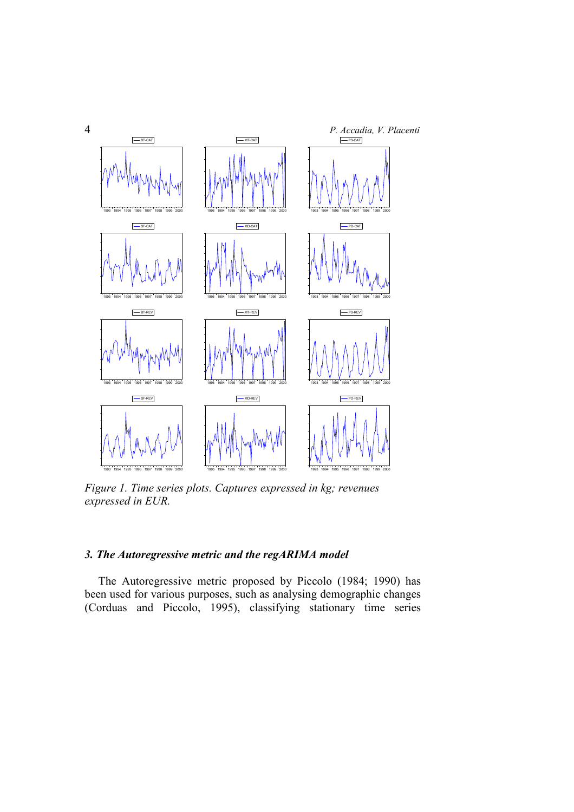

*Figure 1. Time series plots. Captures expressed in kg; revenues expressed in EUR.*

# *3. The Autoregressive metric and the regARIMA model*

The Autoregressive metric proposed by Piccolo (1984; 1990) has been used for various purposes, such as analysing demographic changes (Corduas and Piccolo, 1995), classifying stationary time series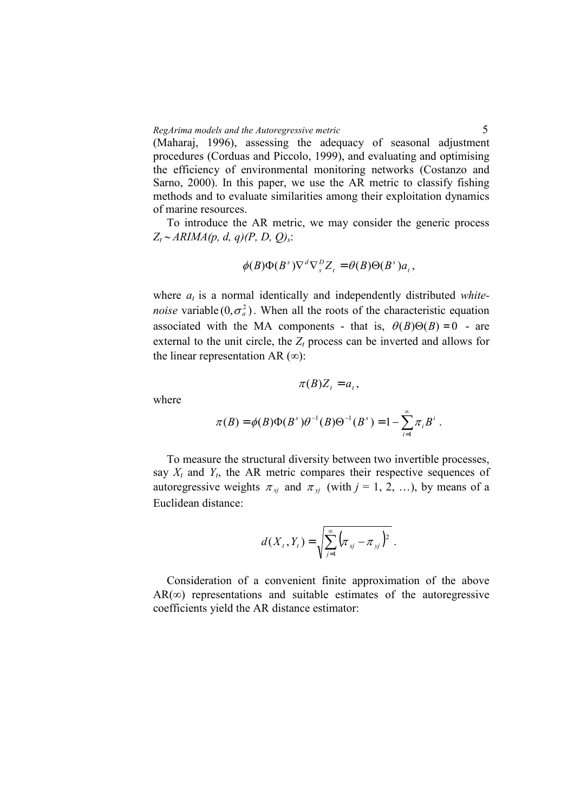(Maharaj, 1996), assessing the adequacy of seasonal adjustment procedures (Corduas and Piccolo, 1999), and evaluating and optimising the efficiency of environmental monitoring networks (Costanzo and Sarno, 2000). In this paper, we use the AR metric to classify fishing methods and to evaluate similarities among their exploitation dynamics of marine resources.

To introduce the AR metric, we may consider the generic process *Zt* - *ARIMA(p, d, q)(P, D, Q)s*:

$$
\phi(B)\Phi(B^s)\nabla^d\nabla_s^D Z_t = \theta(B)\Theta(B^s)a_t,
$$

where  $a_t$  is a normal identically and independently distributed *whitenoise* variable  $(0, \sigma_a^2)$ . When all the roots of the characteristic equation associated with the MA components - that is,  $\theta(B)\Theta(B) = 0$  - are external to the unit circle, the  $Z_t$  process can be inverted and allows for the linear representation AR  $(\infty)$ :

where

$$
\pi(B) = \phi(B)\Phi(B^{s})\theta^{-1}(B)\Theta^{-1}(B^{s}) = 1 - \sum_{i=1}^{\infty} \pi_{i}B^{i}.
$$

 $\pi(B)Z_t = a_t$ ,

To measure the structural diversity between two invertible processes, say  $X_t$  and  $Y_t$ , the AR metric compares their respective sequences of autoregressive weights  $\pi_{xj}$  and  $\pi_{yj}$  (with  $j = 1, 2, ...$ ), by means of a Euclidean distance:

$$
d(X_{t}, Y_{t}) = \sqrt{\sum_{j=1}^{\infty} (\pi_{xj} - \pi_{yj})^{2}}.
$$

Consideration of a convenient finite approximation of the above  $AR(\infty)$  representations and suitable estimates of the autoregressive coefficients yield the AR distance estimator: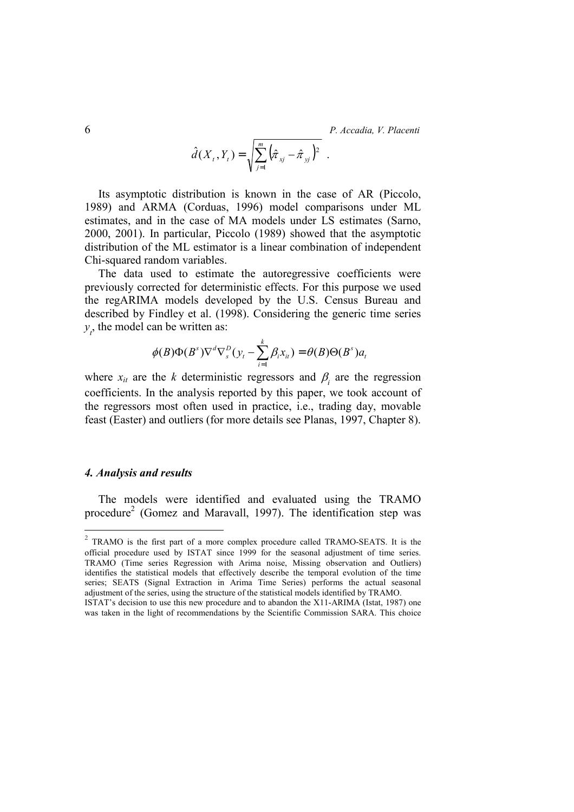$$
\hat{d}(X_t, Y_t) = \sqrt{\sum_{j=1}^m (\hat{\pi}_{xy} - \hat{\pi}_{yy})^2}.
$$

Its asymptotic distribution is known in the case of AR (Piccolo, 1989) and ARMA (Corduas, 1996) model comparisons under ML estimates, and in the case of MA models under LS estimates (Sarno, 2000, 2001). In particular, Piccolo (1989) showed that the asymptotic distribution of the ML estimator is a linear combination of independent Chi-squared random variables.

The data used to estimate the autoregressive coefficients were previously corrected for deterministic effects. For this purpose we used the regARIMA models developed by the U.S. Census Bureau and described by Findley et al. (1998). Considering the generic time series  $y_t$ , the model can be written as:

$$
\phi(B)\Phi(B^s)\nabla^d\nabla_s^D(y_t-\sum_{i=1}^k\beta_ix_{it})=\theta(B)\Theta(B^s)a_t
$$

where  $x_{it}$  are the *k* deterministic regressors and  $\beta_i$  are the regression coefficients. In the analysis reported by this paper, we took account of the regressors most often used in practice, i.e., trading day, movable feast (Easter) and outliers (for more details see Planas, 1997, Chapter 8).

## *4. Analysis and results*

The models were identified and evaluated using the TRAMO procedure<sup>2</sup> (Gomez and Maravall, 1997). The identification step was

<sup>2</sup> TRAMO is the first part of a more complex procedure called TRAMO-SEATS. It is the official procedure used by ISTAT since 1999 for the seasonal adjustment of time series. TRAMO (Time series Regression with Arima noise, Missing observation and Outliers) identifies the statistical models that effectively describe the temporal evolution of the time series; SEATS (Signal Extraction in Arima Time Series) performs the actual seasonal adjustment of the series, using the structure of the statistical models identified by TRAMO.

ISTAT's decision to use this new procedure and to abandon the X11-ARIMA (Istat, 1987) one was taken in the light of recommendations by the Scientific Commission SARA. This choice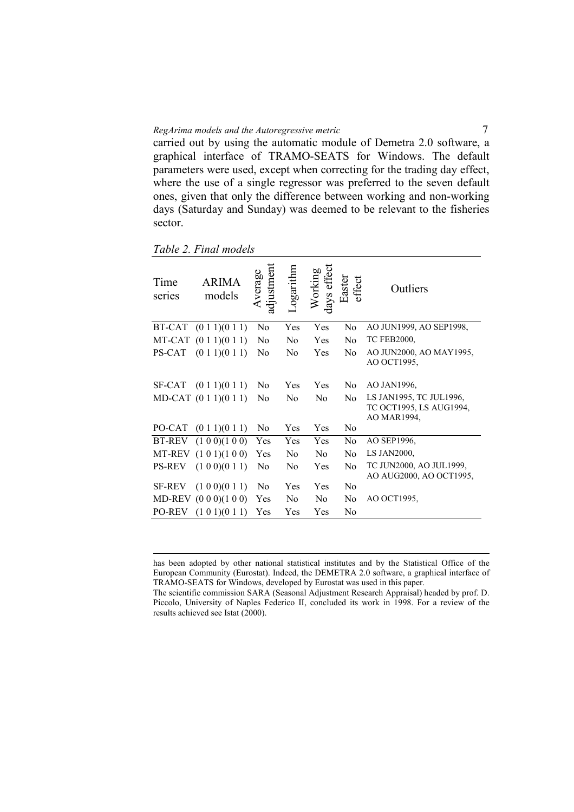carried out by using the automatic module of Demetra 2.0 software, a graphical interface of TRAMO-SEATS for Windows. The default parameters were used, except when correcting for the trading day effect, where the use of a single regressor was preferred to the seven default ones, given that only the difference between working and non-working days (Saturday and Sunday) was deemed to be relevant to the fisheries sector.

| Time<br>series | <b>ARIMA</b><br>models        | adjustment<br>Average | ogarithm       | Working<br>days effect | Easter<br>effect | Outliers                                                          |
|----------------|-------------------------------|-----------------------|----------------|------------------------|------------------|-------------------------------------------------------------------|
|                | $BT-CAT$ $(0 1 1)(0 1 1)$     | N <sub>0</sub>        | Yes            | Yes                    | N <sub>0</sub>   | AO JUN1999, AO SEP1998,                                           |
|                | $MT-CAT$ (0 1 1)(0 1 1)       | N <sub>0</sub>        | N <sub>0</sub> | Yes                    | N <sub>0</sub>   | <b>TC FEB2000,</b>                                                |
|                | $PS-CAT$ (0 1 1)(0 1 1)       | N <sub>0</sub>        | No             | Yes                    | N <sub>0</sub>   | AO JUN2000, AO MAY1995,<br>AO OCT1995,                            |
|                | $SF-CAT$ $(0\ 1\ 1)(0\ 1\ 1)$ | N <sub>0</sub>        | Yes            | <b>Yes</b>             | N <sub>0</sub>   | AO JAN1996.                                                       |
|                | MD-CAT $(0 1 1)(0 1 1)$       | N <sub>0</sub>        | No             | N <sub>0</sub>         | N <sub>0</sub>   | LS JAN1995, TC JUL1996,<br>TC OCT1995, LS AUG1994,<br>AO MAR1994, |
|                | PO-CAT $(0 1 1)(0 1 1)$       | N <sub>0</sub>        | Yes            | Yes                    | N <sub>0</sub>   |                                                                   |
|                | BT-REV $(1 0 0)(1 0 0)$       | Yes                   | Yes            | Yes                    | N <sub>0</sub>   | AO SEP1996.                                                       |
|                | MT-REV $(1 0 1)(1 0 0)$       | Yes                   | No             | No                     | N <sub>0</sub>   | <b>LS JAN2000.</b>                                                |
| <b>PS-REV</b>  | (1 0 0)(0 1 1)                | N <sub>0</sub>        | No             | Yes                    | N <sub>0</sub>   | TC JUN2000, AO JUL1999,<br>AO AUG2000, AO OCT1995,                |
|                | $SF-REV$ $(1\ 0\ 0)(0\ 1\ 1)$ | N <sub>0</sub>        | Yes            | Yes                    | N <sub>0</sub>   |                                                                   |
|                | MD-REV (0 0 0)(1 0 0)         | Yes                   | N <sub>0</sub> | N <sub>0</sub>         | N <sub>0</sub>   | AO OCT1995.                                                       |
|                | PO-REV (1 0 1)(0 1 1)         | Yes                   | Yes            | Yes                    | N <sub>0</sub>   |                                                                   |

has been adopted by other national statistical institutes and by the Statistical Office of the European Community (Eurostat). Indeed, the DEMETRA 2.0 software, a graphical interface of TRAMO-SEATS for Windows, developed by Eurostat was used in this paper.

The scientific commission SARA (Seasonal Adjustment Research Appraisal) headed by prof. D. Piccolo, University of Naples Federico II, concluded its work in 1998. For a review of the results achieved see Istat (2000).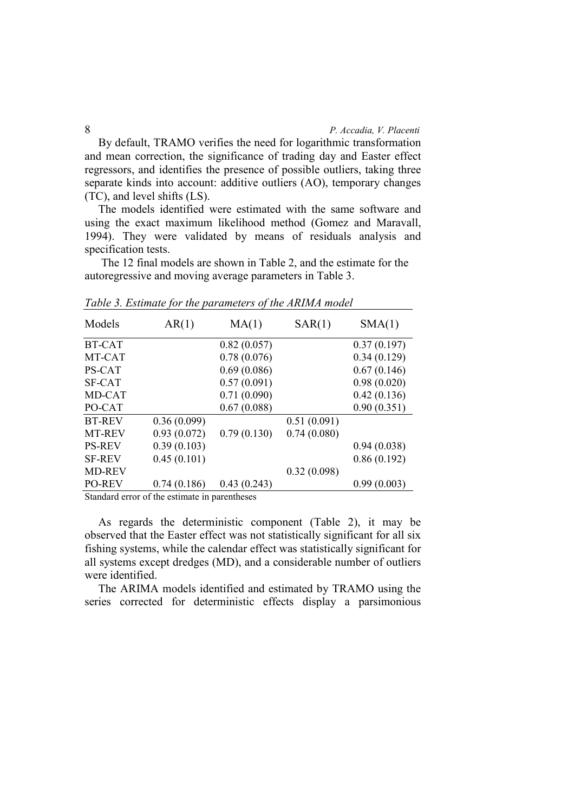By default, TRAMO verifies the need for logarithmic transformation and mean correction, the significance of trading day and Easter effect regressors, and identifies the presence of possible outliers, taking three separate kinds into account: additive outliers (AO), temporary changes (TC), and level shifts (LS).

The models identified were estimated with the same software and using the exact maximum likelihood method (Gomez and Maravall, 1994). They were validated by means of residuals analysis and specification tests.

 The 12 final models are shown in Table 2, and the estimate for the autoregressive and moving average parameters in Table 3.

| Models         | AR(1)             | MA(1)       | SAR(1)      | SMA(1)      |
|----------------|-------------------|-------------|-------------|-------------|
| <b>BT-CAT</b>  |                   | 0.82(0.057) |             | 0.37(0.197) |
| MT-CAT         |                   | 0.78(0.076) |             | 0.34(0.129) |
| PS-CAT         |                   | 0.69(0.086) |             | 0.67(0.146) |
| <b>SF-CAT</b>  |                   | 0.57(0.091) |             | 0.98(0.020) |
| MD-CAT         |                   | 0.71(0.090) |             | 0.42(0.136) |
| PO-CAT         |                   | 0.67(0.088) |             | 0.90(0.351) |
| <b>BT-REV</b>  | 0.36(0.099)       |             | 0.51(0.091) |             |
| <b>MT-REV</b>  | 0.93(0.072)       | 0.79(0.130) | 0.74(0.080) |             |
| <b>PS-REV</b>  | 0.39(0.103)       |             |             | 0.94(0.038) |
| <b>SF-REV</b>  | 0.45(0.101)       |             |             | 0.86(0.192) |
| <b>MD-REV</b>  |                   |             | 0.32(0.098) |             |
| <b>PO-REV</b>  | 0.74(0.186)       | 0.43(0.243) |             | 0.99(0.003) |
| $\alpha$ , 1 1 | $\sim$ $\cdot$ 1. |             |             |             |

*Table 3. Estimate for the parameters of the ARIMA model* 

Standard error of the estimate in parentheses

As regards the deterministic component (Table 2), it may be observed that the Easter effect was not statistically significant for all six fishing systems, while the calendar effect was statistically significant for all systems except dredges (MD), and a considerable number of outliers were identified.

The ARIMA models identified and estimated by TRAMO using the series corrected for deterministic effects display a parsimonious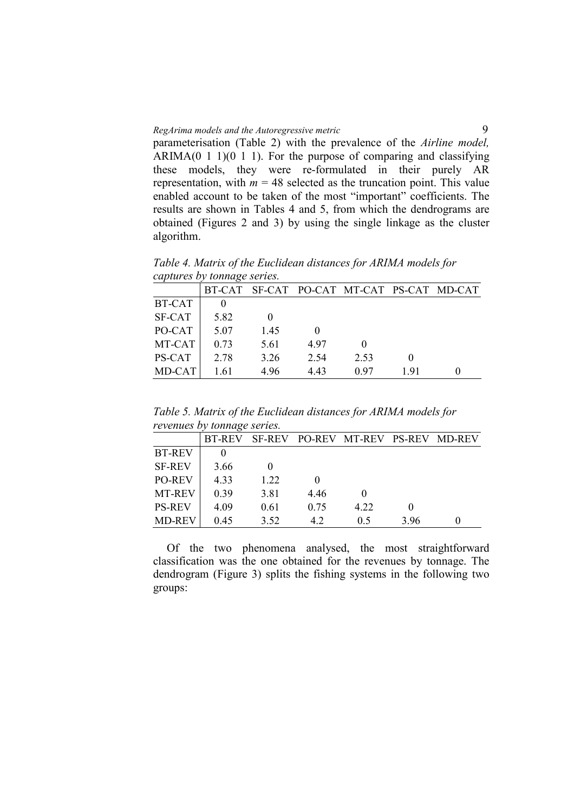parameterisation (Table 2) with the prevalence of the *Airline model,*  ARIMA( $0 \ 1 \ 1$ )( $0 \ 1 \ 1$ ). For the purpose of comparing and classifying these models, they were re-formulated in their purely AR representation, with  $m = 48$  selected as the truncation point. This value enabled account to be taken of the most "important" coefficients. The results are shown in Tables 4 and 5, from which the dendrograms are obtained (Figures 2 and 3) by using the single linkage as the cluster algorithm.

*Table 4. Matrix of the Euclidean distances for ARIMA models for captures by tonnage series.* 

|               | $\cdot$ |      |      |                                    |     |  |
|---------------|---------|------|------|------------------------------------|-----|--|
|               | BT-CAT  |      |      | SF-CAT PO-CAT MT-CAT PS-CAT MD-CAT |     |  |
| BT-CAT        |         |      |      |                                    |     |  |
| <b>SF-CAT</b> | 5.82    |      |      |                                    |     |  |
| PO-CAT        | 5.07    | 145  |      |                                    |     |  |
| MT-CAT        | 0.73    | 5.61 | 497  |                                    |     |  |
| <b>PS-CAT</b> | 2.78    | 3.26 | 2.54 | 2.53                               |     |  |
| MD-CAT        | 1.61    | 496  | 4.43 | 0.97                               | 191 |  |

*Table 5. Matrix of the Euclidean distances for ARIMA models for revenues by tonnage series.* 

|               | <b>BT-REV</b> | <b>SF-REV</b> |      | PO-REV MT-REV PS-REV |     | MD-REV |
|---------------|---------------|---------------|------|----------------------|-----|--------|
| <b>BT-REV</b> |               |               |      |                      |     |        |
| <b>SF-REV</b> | 3.66          |               |      |                      |     |        |
| <b>PO-REV</b> | 4.33          | 1.22          |      |                      |     |        |
| <b>MT-REV</b> | 0.39          | 3.81          | 4.46 |                      |     |        |
| <b>PS-REV</b> | 4.09          | 0.61          | 0.75 | 4.22                 |     |        |
| <b>MD-REV</b> | 0.45          | 3.52          | 42   | 0.5                  | 396 |        |

Of the two phenomena analysed, the most straightforward classification was the one obtained for the revenues by tonnage. The dendrogram (Figure 3) splits the fishing systems in the following two groups: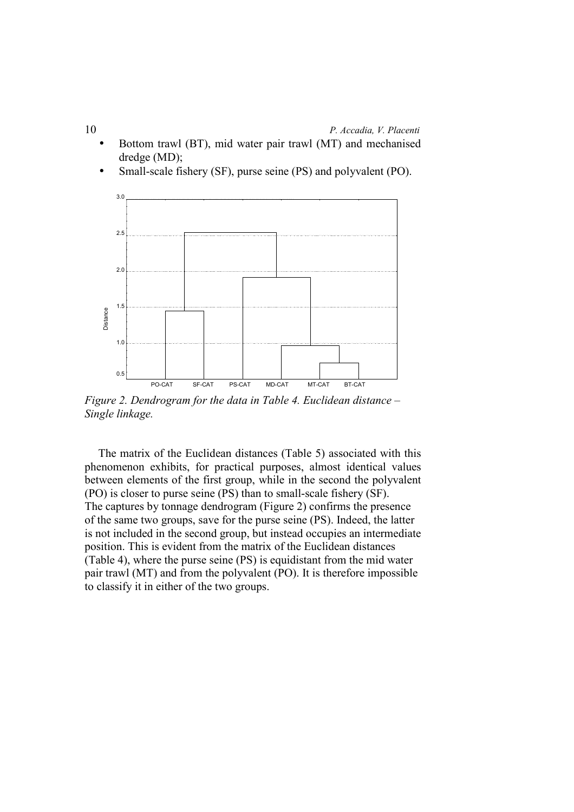- Bottom trawl (BT), mid water pair trawl (MT) and mechanised dredge (MD);
- Small-scale fishery (SF), purse seine (PS) and polyvalent (PO).



*Figure 2. Dendrogram for the data in Table 4. Euclidean distance – Single linkage.*

The matrix of the Euclidean distances (Table 5) associated with this phenomenon exhibits, for practical purposes, almost identical values between elements of the first group, while in the second the polyvalent (PO) is closer to purse seine (PS) than to small-scale fishery (SF). The captures by tonnage dendrogram (Figure 2) confirms the presence of the same two groups, save for the purse seine (PS). Indeed, the latter is not included in the second group, but instead occupies an intermediate position. This is evident from the matrix of the Euclidean distances (Table 4), where the purse seine (PS) is equidistant from the mid water pair trawl (MT) and from the polyvalent (PO). It is therefore impossible to classify it in either of the two groups.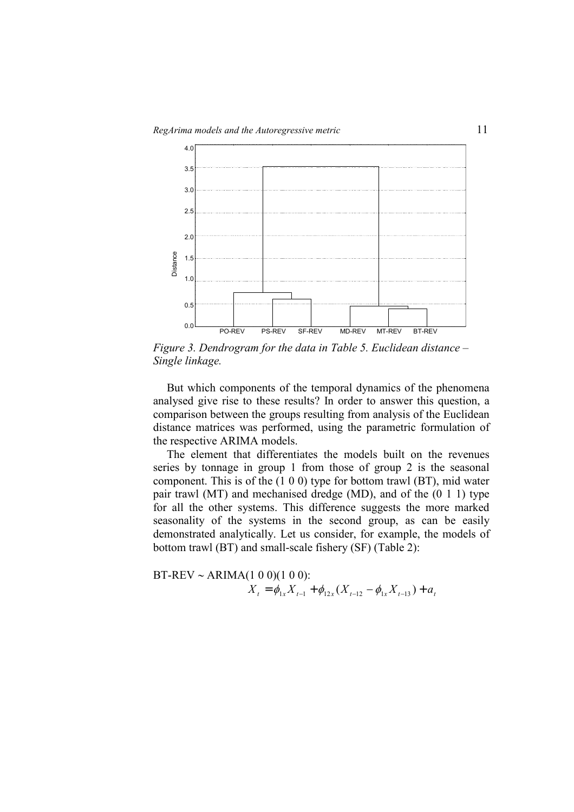

*Figure 3. Dendrogram for the data in Table 5. Euclidean distance – Single linkage.*

But which components of the temporal dynamics of the phenomena analysed give rise to these results? In order to answer this question, a comparison between the groups resulting from analysis of the Euclidean distance matrices was performed, using the parametric formulation of the respective ARIMA models.

The element that differentiates the models built on the revenues series by tonnage in group 1 from those of group 2 is the seasonal component. This is of the (1 0 0) type for bottom trawl (BT), mid water pair trawl (MT) and mechanised dredge (MD), and of the (0 1 1) type for all the other systems. This difference suggests the more marked seasonality of the systems in the second group, as can be easily demonstrated analytically. Let us consider, for example, the models of bottom trawl (BT) and small-scale fishery (SF) (Table 2):

 $BT-REV \sim ARIMA(1 0 0)(1 0 0)$ :  $X_t = \phi_{1x} X_{t-1} + \phi_{12x} (X_{t-12} - \phi_{1x} X_{t-13}) + a_t$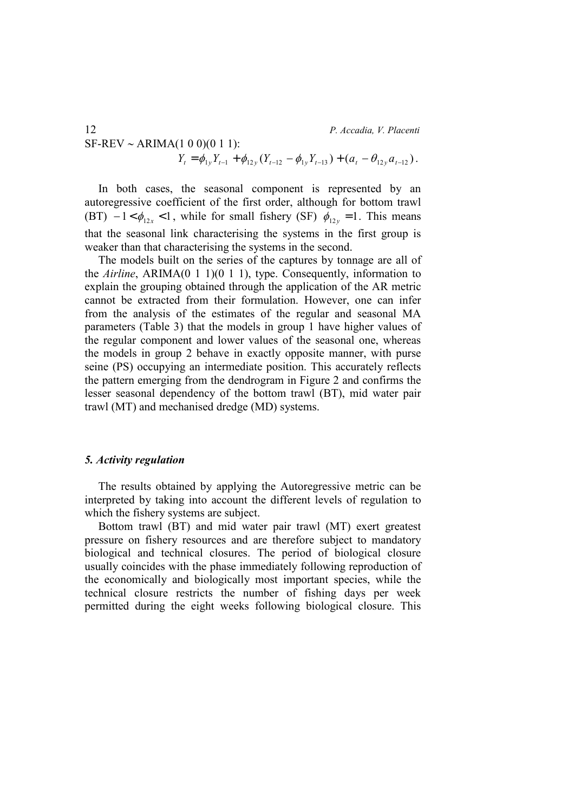$SF-REV \sim ARIMA(1 0 0)(0 1 1)$ :

 $Y_t = \phi_{1v} Y_{t-1} + \phi_{12v} (Y_{t-12} - \phi_{1v} Y_{t-13}) + (a_t - \theta_{12v} a_{t-12}).$ 

In both cases, the seasonal component is represented by an autoregressive coefficient of the first order, although for bottom trawl (BT)  $-1 < \phi_{12x} < 1$ , while for small fishery (SF)  $\phi_{12y} = 1$ . This means that the seasonal link characterising the systems in the first group is weaker than that characterising the systems in the second.

The models built on the series of the captures by tonnage are all of the *Airline*, ARIMA(0 1 1)(0 1 1), type. Consequently, information to explain the grouping obtained through the application of the AR metric cannot be extracted from their formulation. However, one can infer from the analysis of the estimates of the regular and seasonal MA parameters (Table 3) that the models in group 1 have higher values of the regular component and lower values of the seasonal one, whereas the models in group 2 behave in exactly opposite manner, with purse seine (PS) occupying an intermediate position. This accurately reflects the pattern emerging from the dendrogram in Figure 2 and confirms the lesser seasonal dependency of the bottom trawl (BT), mid water pair trawl (MT) and mechanised dredge (MD) systems.

#### *5. Activity regulation*

The results obtained by applying the Autoregressive metric can be interpreted by taking into account the different levels of regulation to which the fishery systems are subject.

Bottom trawl (BT) and mid water pair trawl (MT) exert greatest pressure on fishery resources and are therefore subject to mandatory biological and technical closures. The period of biological closure usually coincides with the phase immediately following reproduction of the economically and biologically most important species, while the technical closure restricts the number of fishing days per week permitted during the eight weeks following biological closure. This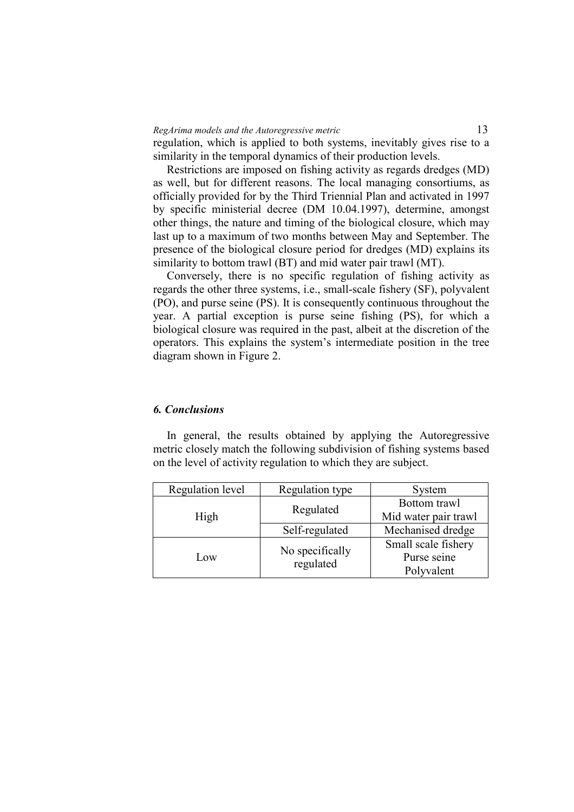regulation, which is applied to both systems, inevitably gives rise to a similarity in the temporal dynamics of their production levels.

Restrictions are imposed on fishing activity as regards dredges (MD) as well, but for different reasons. The local managing consortiums, as officially provided for by the Third Triennial Plan and activated in 1997 by specific ministerial decree (DM 10.04.1997), determine, amongst other things, the nature and timing of the biological closure, which may last up to a maximum of two months between May and September. The presence of the biological closure period for dredges (MD) explains its similarity to bottom trawl (BT) and mid water pair trawl (MT).

Conversely, there is no specific regulation of fishing activity as regards the other three systems, i.e., small-scale fishery (SF), polyvalent (PO), and purse seine (PS). It is consequently continuous throughout the year. A partial exception is purse seine fishing (PS), for which a biological closure was required in the past, albeit at the discretion of the operators. This explains the system's intermediate position in the tree diagram shown in Figure 2.

#### *6. Conclusions*

In general, the results obtained by applying the Autoregressive metric closely match the following subdivision of fishing systems based on the level of activity regulation to which they are subject.

| Regulation level | Regulation type              | System                                           |
|------------------|------------------------------|--------------------------------------------------|
| High             | Regulated                    | Bottom trawl<br>Mid water pair trawl             |
|                  | Self-regulated               | Mechanised dredge                                |
| Low              | No specifically<br>regulated | Small scale fishery<br>Purse seine<br>Polyvalent |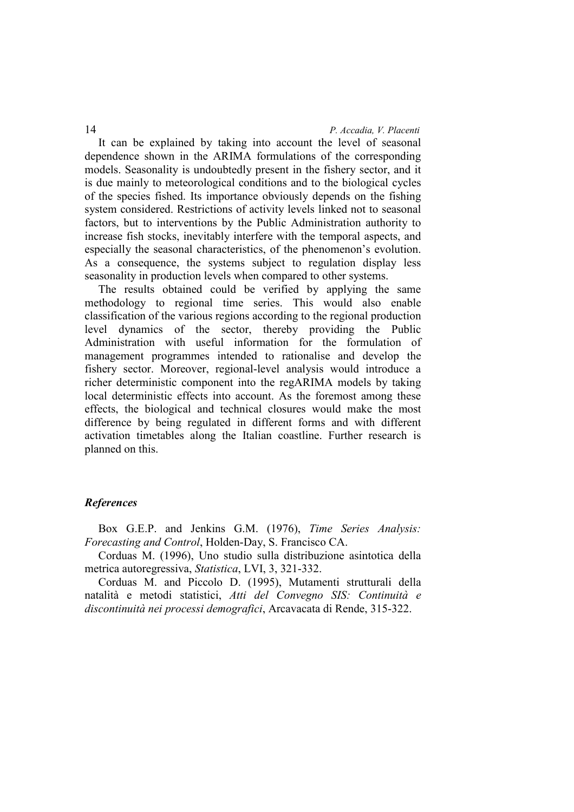It can be explained by taking into account the level of seasonal dependence shown in the ARIMA formulations of the corresponding models. Seasonality is undoubtedly present in the fishery sector, and it is due mainly to meteorological conditions and to the biological cycles of the species fished. Its importance obviously depends on the fishing system considered. Restrictions of activity levels linked not to seasonal factors, but to interventions by the Public Administration authority to increase fish stocks, inevitably interfere with the temporal aspects, and especially the seasonal characteristics, of the phenomenon's evolution. As a consequence, the systems subject to regulation display less seasonality in production levels when compared to other systems.

The results obtained could be verified by applying the same methodology to regional time series. This would also enable classification of the various regions according to the regional production level dynamics of the sector, thereby providing the Public Administration with useful information for the formulation of management programmes intended to rationalise and develop the fishery sector. Moreover, regional-level analysis would introduce a richer deterministic component into the regARIMA models by taking local deterministic effects into account. As the foremost among these effects, the biological and technical closures would make the most difference by being regulated in different forms and with different activation timetables along the Italian coastline. Further research is planned on this.

## *References*

Box G.E.P. and Jenkins G.M. (1976), *Time Series Analysis: Forecasting and Control*, Holden-Day, S. Francisco CA.

Corduas M. (1996), Uno studio sulla distribuzione asintotica della metrica autoregressiva, *Statistica*, LVI, 3, 321-332.

Corduas M. and Piccolo D. (1995), Mutamenti strutturali della natalità e metodi statistici, *Atti del Convegno SIS: Continuità e discontinuità nei processi demografici*, Arcavacata di Rende, 315-322.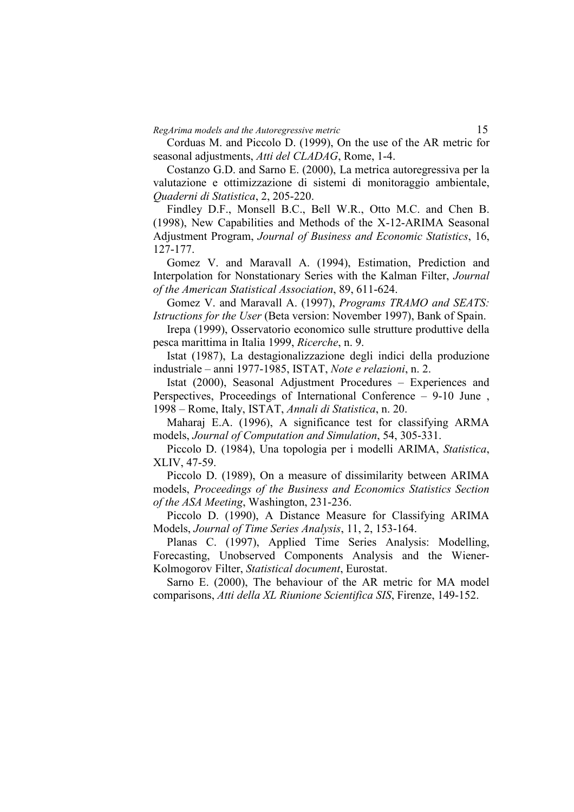Corduas M. and Piccolo D. (1999), On the use of the AR metric for seasonal adjustments, *Atti del CLADAG*, Rome, 1-4.

Costanzo G.D. and Sarno E. (2000), La metrica autoregressiva per la valutazione e ottimizzazione di sistemi di monitoraggio ambientale, *Quaderni di Statistica*, 2, 205-220.

Findley D.F., Monsell B.C., Bell W.R., Otto M.C. and Chen B. (1998), New Capabilities and Methods of the X-12-ARIMA Seasonal Adjustment Program, *Journal of Business and Economic Statistics*, 16, 127-177.

Gomez V. and Maravall A. (1994), Estimation, Prediction and Interpolation for Nonstationary Series with the Kalman Filter, *Journal of the American Statistical Association*, 89, 611-624.

Gomez V. and Maravall A. (1997), *Programs TRAMO and SEATS: Istructions for the User* (Beta version: November 1997), Bank of Spain.

Irepa (1999), Osservatorio economico sulle strutture produttive della pesca marittima in Italia 1999, *Ricerche*, n. 9.

Istat (1987), La destagionalizzazione degli indici della produzione industriale – anni 1977-1985, ISTAT, *Note e relazioni*, n. 2.

Istat (2000), Seasonal Adjustment Procedures – Experiences and Perspectives, Proceedings of International Conference – 9-10 June , 1998 – Rome, Italy, ISTAT, *Annali di Statistica*, n. 20.

Maharaj E.A. (1996), A significance test for classifying ARMA models, *Journal of Computation and Simulation*, 54, 305-331.

Piccolo D. (1984), Una topologia per i modelli ARIMA, *Statistica*, XLIV, 47-59.

Piccolo D. (1989), On a measure of dissimilarity between ARIMA models, *Proceedings of the Business and Economics Statistics Section of the ASA Meeting*, Washington, 231-236.

Piccolo D. (1990), A Distance Measure for Classifying ARIMA Models, *Journal of Time Series Analysis*, 11, 2, 153-164.

Planas C. (1997), Applied Time Series Analysis: Modelling, Forecasting, Unobserved Components Analysis and the Wiener-Kolmogorov Filter, *Statistical document*, Eurostat.

Sarno E. (2000), The behaviour of the AR metric for MA model comparisons, *Atti della XL Riunione Scientifica SIS*, Firenze, 149-152.